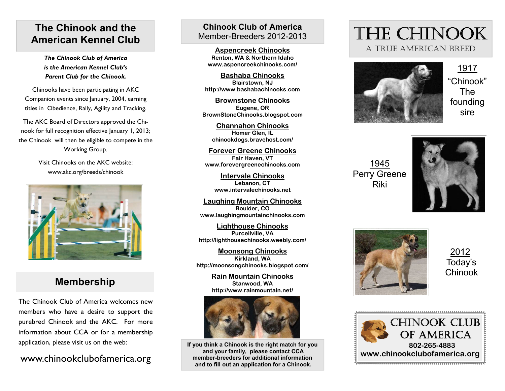## **The Chinook and the American Kennel Club**

*The Chinook Club of America is the American Kennel Club's Parent Club for the Chinook.* 

Chinooks have been participating in AKC Companion events since January, 2004, earning titles in Obedience, Rally, Agility and Tracking.

The AKC Board of Directors approved the Chinook for full recognition effective January 1, 2013; the Chinook will then be eligible to compete in the Working Group.

> Visit Chinooks on the AKC website: www.akc.org/breeds/chinook



# **Membership**

The Chinook Club of America welcomes new members who have a desire to support the purebred Chinook and the AKC. For more information about CCA or for a membership application, please visit us on the web:

### www.chinookclubofamerica.org

### **Chinook Club of America** Member-Breeders 2012-2013

**Aspencreek Chinooks Renton, WA & Northern Idaho www.aspencreekchinooks.com/** 

**Bashaba ChinooksBlairstown, NJ http://www.bashabachinooks.com** 

**Brownstone ChinooksEugene, OR BrownStoneChinooks.blogspot.com** 

**Channahon ChinooksHomer Glen, IL chinookdogs.bravehost.com/** 

**Forever Greene ChinooksFair Haven, VT www.forevergreenechinooks.com** 

**Intervale ChinooksLebanon, CT www.intervalechinooks.net** 

**Laughing Mountain ChinooksBoulder, CO www.laughingmountainchinooks.com** 

**Lighthouse ChinooksPurcellville, VA http://lighthousechinooks.weebly.com/** 

**Moonsong ChinooksKirkland, WA http://moonsongchinooks.blogspot.com/** 

> **Rain Mountain ChinooksStanwood, WA http://www.rainmountain.net/**



**If you think a Chinook is the right match for you and your family, please contact CCA member-breeders for additional information and to fill out an application for a Chinook.** 

# THE CHINOOK A TRUE AMERICAN BREED



1917 "Chinook" The founding sire

1945 Perry Greene Riki





2012 Today's **Chinook**